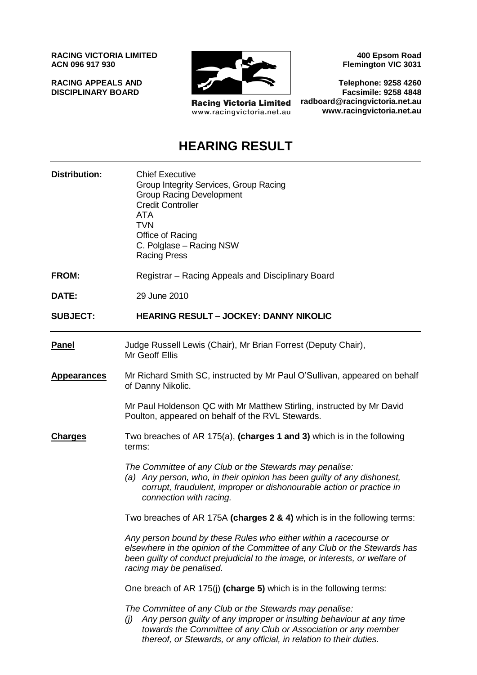**RACING VICTORIA LIMITED ACN 096 917 930**

**RACING APPEALS AND DISCIPLINARY BOARD**



**Racing Victoria Limited** www.racingvictoria.net.au

**400 Epsom Road Flemington VIC 3031**

**Telephone: 9258 4260 Facsimile: 9258 4848 radboard@racingvictoria.net.au www.racingvictoria.net.au**

# **HEARING RESULT**

| <b>Distribution:</b> | <b>Chief Executive</b><br>Group Integrity Services, Group Racing<br><b>Group Racing Development</b><br><b>Credit Controller</b><br><b>ATA</b><br>TVN<br>Office of Racing<br>C. Polglase - Racing NSW<br><b>Racing Press</b>                                                     |  |  |
|----------------------|---------------------------------------------------------------------------------------------------------------------------------------------------------------------------------------------------------------------------------------------------------------------------------|--|--|
| <b>FROM:</b>         | Registrar - Racing Appeals and Disciplinary Board                                                                                                                                                                                                                               |  |  |
| DATE:                | 29 June 2010                                                                                                                                                                                                                                                                    |  |  |
| <b>SUBJECT:</b>      | <b>HEARING RESULT - JOCKEY: DANNY NIKOLIC</b>                                                                                                                                                                                                                                   |  |  |
| <b>Panel</b>         | Judge Russell Lewis (Chair), Mr Brian Forrest (Deputy Chair),<br>Mr Geoff Ellis                                                                                                                                                                                                 |  |  |
| <b>Appearances</b>   | Mr Richard Smith SC, instructed by Mr Paul O'Sullivan, appeared on behalf<br>of Danny Nikolic.                                                                                                                                                                                  |  |  |
|                      | Mr Paul Holdenson QC with Mr Matthew Stirling, instructed by Mr David<br>Poulton, appeared on behalf of the RVL Stewards.                                                                                                                                                       |  |  |
| <b>Charges</b>       | Two breaches of AR 175(a), (charges 1 and 3) which is in the following<br>terms:                                                                                                                                                                                                |  |  |
|                      | The Committee of any Club or the Stewards may penalise:<br>(a) Any person, who, in their opinion has been guilty of any dishonest,<br>corrupt, fraudulent, improper or dishonourable action or practice in<br>connection with racing.                                           |  |  |
|                      | Two breaches of AR 175A (charges 2 & 4) which is in the following terms:                                                                                                                                                                                                        |  |  |
|                      | Any person bound by these Rules who either within a racecourse or<br>elsewhere in the opinion of the Committee of any Club or the Stewards has<br>been guilty of conduct prejudicial to the image, or interests, or welfare of<br>racing may be penalised.                      |  |  |
|                      | One breach of AR 175(j) (charge 5) which is in the following terms:                                                                                                                                                                                                             |  |  |
|                      | The Committee of any Club or the Stewards may penalise:<br>Any person guilty of any improper or insulting behaviour at any time<br>(i)<br>towards the Committee of any Club or Association or any member<br>thereof, or Stewards, or any official, in relation to their duties. |  |  |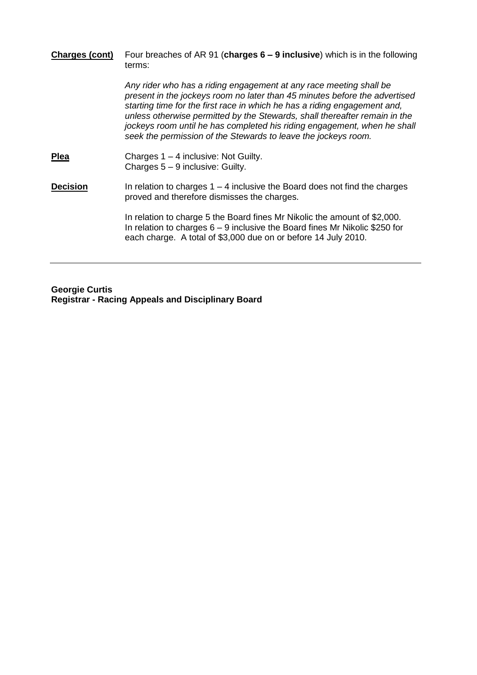#### **Charges (cont)** Four breaches of AR 91 (**charges 6 – 9 inclusive**) which is in the following terms:

*Any rider who has a riding engagement at any race meeting shall be present in the jockeys room no later than 45 minutes before the advertised starting time for the first race in which he has a riding engagement and, unless otherwise permitted by the Stewards, shall thereafter remain in the jockeys room until he has completed his riding engagement, when he shall seek the permission of the Stewards to leave the jockeys room.*

**Plea** Charges 1 – 4 inclusive: Not Guilty. Charges 5 – 9 inclusive: Guilty.

**Decision** In relation to charges 1 – 4 inclusive the Board does not find the charges proved and therefore dismisses the charges.

> In relation to charge 5 the Board fines Mr Nikolic the amount of \$2,000. In relation to charges 6 – 9 inclusive the Board fines Mr Nikolic \$250 for each charge. A total of \$3,000 due on or before 14 July 2010.

**Georgie Curtis Registrar - Racing Appeals and Disciplinary Board**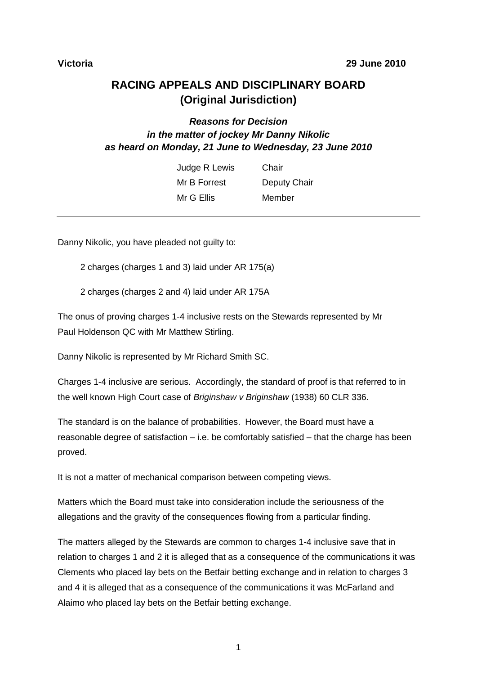# **RACING APPEALS AND DISCIPLINARY BOARD (Original Jurisdiction)**

# *Reasons for Decision in the matter of jockey Mr Danny Nikolic as heard on Monday, 21 June to Wednesday, 23 June 2010*

| Judge R Lewis | Chair        |
|---------------|--------------|
| Mr B Forrest  | Deputy Chair |
| Mr G Ellis    | Member       |

Danny Nikolic, you have pleaded not quilty to:

2 charges (charges 1 and 3) laid under AR 175(a)

2 charges (charges 2 and 4) laid under AR 175A

The onus of proving charges 1-4 inclusive rests on the Stewards represented by Mr Paul Holdenson QC with Mr Matthew Stirling.

Danny Nikolic is represented by Mr Richard Smith SC.

Charges 1-4 inclusive are serious. Accordingly, the standard of proof is that referred to in the well known High Court case of *Briginshaw v Briginshaw* (1938) 60 CLR 336.

The standard is on the balance of probabilities. However, the Board must have a reasonable degree of satisfaction – i.e. be comfortably satisfied – that the charge has been proved.

It is not a matter of mechanical comparison between competing views.

Matters which the Board must take into consideration include the seriousness of the allegations and the gravity of the consequences flowing from a particular finding.

The matters alleged by the Stewards are common to charges 1-4 inclusive save that in relation to charges 1 and 2 it is alleged that as a consequence of the communications it was Clements who placed lay bets on the Betfair betting exchange and in relation to charges 3 and 4 it is alleged that as a consequence of the communications it was McFarland and Alaimo who placed lay bets on the Betfair betting exchange.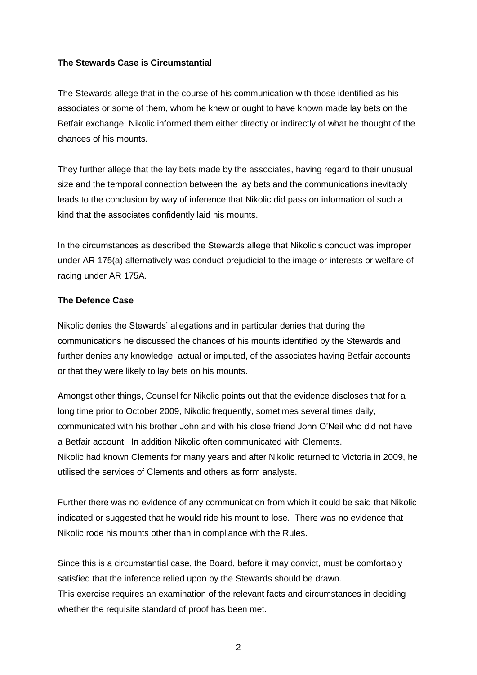### **The Stewards Case is Circumstantial**

The Stewards allege that in the course of his communication with those identified as his associates or some of them, whom he knew or ought to have known made lay bets on the Betfair exchange, Nikolic informed them either directly or indirectly of what he thought of the chances of his mounts.

They further allege that the lay bets made by the associates, having regard to their unusual size and the temporal connection between the lay bets and the communications inevitably leads to the conclusion by way of inference that Nikolic did pass on information of such a kind that the associates confidently laid his mounts.

In the circumstances as described the Stewards allege that Nikolic's conduct was improper under AR 175(a) alternatively was conduct prejudicial to the image or interests or welfare of racing under AR 175A.

### **The Defence Case**

Nikolic denies the Stewards' allegations and in particular denies that during the communications he discussed the chances of his mounts identified by the Stewards and further denies any knowledge, actual or imputed, of the associates having Betfair accounts or that they were likely to lay bets on his mounts.

Amongst other things, Counsel for Nikolic points out that the evidence discloses that for a long time prior to October 2009, Nikolic frequently, sometimes several times daily, communicated with his brother John and with his close friend John O'Neil who did not have a Betfair account. In addition Nikolic often communicated with Clements. Nikolic had known Clements for many years and after Nikolic returned to Victoria in 2009, he utilised the services of Clements and others as form analysts.

Further there was no evidence of any communication from which it could be said that Nikolic indicated or suggested that he would ride his mount to lose. There was no evidence that Nikolic rode his mounts other than in compliance with the Rules.

Since this is a circumstantial case, the Board, before it may convict, must be comfortably satisfied that the inference relied upon by the Stewards should be drawn. This exercise requires an examination of the relevant facts and circumstances in deciding whether the requisite standard of proof has been met.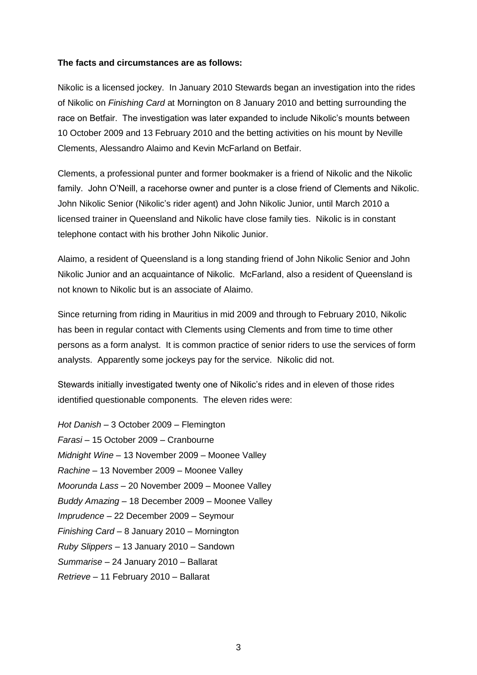#### **The facts and circumstances are as follows:**

Nikolic is a licensed jockey. In January 2010 Stewards began an investigation into the rides of Nikolic on *Finishing Card* at Mornington on 8 January 2010 and betting surrounding the race on Betfair. The investigation was later expanded to include Nikolic's mounts between 10 October 2009 and 13 February 2010 and the betting activities on his mount by Neville Clements, Alessandro Alaimo and Kevin McFarland on Betfair.

Clements, a professional punter and former bookmaker is a friend of Nikolic and the Nikolic family. John O'Neill, a racehorse owner and punter is a close friend of Clements and Nikolic. John Nikolic Senior (Nikolic's rider agent) and John Nikolic Junior, until March 2010 a licensed trainer in Queensland and Nikolic have close family ties. Nikolic is in constant telephone contact with his brother John Nikolic Junior.

Alaimo, a resident of Queensland is a long standing friend of John Nikolic Senior and John Nikolic Junior and an acquaintance of Nikolic. McFarland, also a resident of Queensland is not known to Nikolic but is an associate of Alaimo.

Since returning from riding in Mauritius in mid 2009 and through to February 2010, Nikolic has been in regular contact with Clements using Clements and from time to time other persons as a form analyst. It is common practice of senior riders to use the services of form analysts. Apparently some jockeys pay for the service. Nikolic did not.

Stewards initially investigated twenty one of Nikolic's rides and in eleven of those rides identified questionable components. The eleven rides were:

*Hot Danish* – 3 October 2009 – Flemington *Farasi* – 15 October 2009 – Cranbourne *Midnight Wine* – 13 November 2009 – Moonee Valley *Rachine* – 13 November 2009 – Moonee Valley *Moorunda Lass* – 20 November 2009 – Moonee Valley *Buddy Amazing* – 18 December 2009 – Moonee Valley *Imprudence* – 22 December 2009 – Seymour *Finishing Card* – 8 January 2010 – Mornington *Ruby Slippers* – 13 January 2010 – Sandown *Summarise* – 24 January 2010 – Ballarat *Retrieve* – 11 February 2010 – Ballarat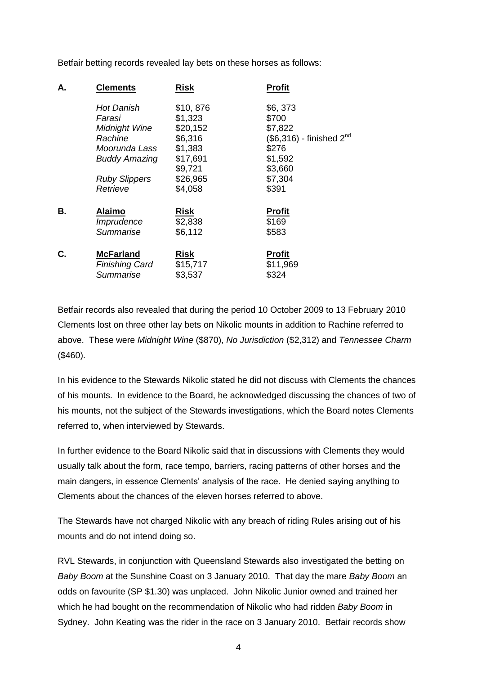Betfair betting records revealed lay bets on these horses as follows:

| Α. | <b>Clements</b>       | <b>Risk</b> | <b>Profit</b>                |
|----|-----------------------|-------------|------------------------------|
|    | <b>Hot Danish</b>     | \$10,876    | \$6,373                      |
|    | Farasi                | \$1,323     | \$700                        |
|    | Midnight Wine         | \$20,152    | \$7,822                      |
|    | Rachine               | \$6,316     | $(\$6,316)$ - finished $2nd$ |
|    | Moorunda Lass         | \$1,383     | \$276                        |
|    | <b>Buddy Amazing</b>  | \$17,691    | \$1,592                      |
|    |                       | \$9,721     | \$3,660                      |
|    | <b>Ruby Slippers</b>  | \$26,965    | \$7,304                      |
|    | Retrieve              | \$4,058     | \$391                        |
| В. | <b>Alaimo</b>         | <b>Risk</b> | <b>Profit</b>                |
|    | Imprudence            | \$2,838     | \$169                        |
|    | Summarise             | \$6,112     | \$583                        |
| С. | <b>McFarland</b>      | <b>Risk</b> | <b>Profit</b>                |
|    | <b>Finishing Card</b> | \$15,717    | \$11,969                     |
|    | Summarise             | \$3,537     | \$324                        |
|    |                       |             |                              |

Betfair records also revealed that during the period 10 October 2009 to 13 February 2010 Clements lost on three other lay bets on Nikolic mounts in addition to Rachine referred to above. These were *Midnight Wine* (\$870), *No Jurisdiction* (\$2,312) and *Tennessee Charm* (\$460).

In his evidence to the Stewards Nikolic stated he did not discuss with Clements the chances of his mounts. In evidence to the Board, he acknowledged discussing the chances of two of his mounts, not the subject of the Stewards investigations, which the Board notes Clements referred to, when interviewed by Stewards.

In further evidence to the Board Nikolic said that in discussions with Clements they would usually talk about the form, race tempo, barriers, racing patterns of other horses and the main dangers, in essence Clements' analysis of the race. He denied saying anything to Clements about the chances of the eleven horses referred to above.

The Stewards have not charged Nikolic with any breach of riding Rules arising out of his mounts and do not intend doing so.

RVL Stewards, in conjunction with Queensland Stewards also investigated the betting on *Baby Boom* at the Sunshine Coast on 3 January 2010. That day the mare *Baby Boom* an odds on favourite (SP \$1.30) was unplaced. John Nikolic Junior owned and trained her which he had bought on the recommendation of Nikolic who had ridden *Baby Boom* in Sydney. John Keating was the rider in the race on 3 January 2010. Betfair records show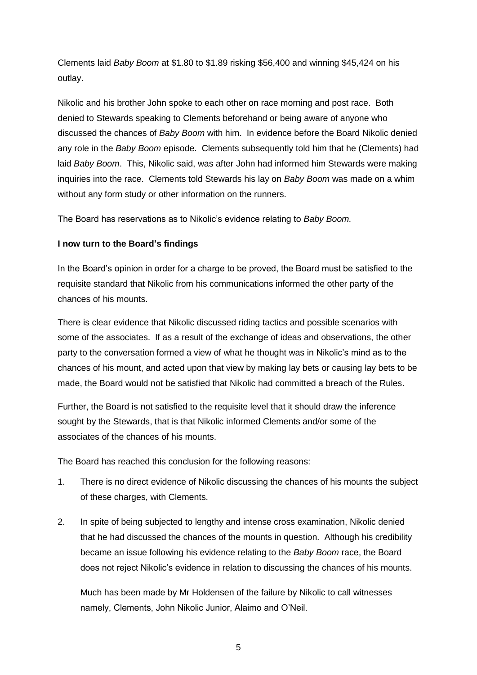Clements laid *Baby Boom* at \$1.80 to \$1.89 risking \$56,400 and winning \$45,424 on his outlay.

Nikolic and his brother John spoke to each other on race morning and post race. Both denied to Stewards speaking to Clements beforehand or being aware of anyone who discussed the chances of *Baby Boom* with him. In evidence before the Board Nikolic denied any role in the *Baby Boom* episode. Clements subsequently told him that he (Clements) had laid *Baby Boom*. This, Nikolic said, was after John had informed him Stewards were making inquiries into the race. Clements told Stewards his lay on *Baby Boom* was made on a whim without any form study or other information on the runners.

The Board has reservations as to Nikolic's evidence relating to *Baby Boom.*

## **I now turn to the Board's findings**

In the Board's opinion in order for a charge to be proved, the Board must be satisfied to the requisite standard that Nikolic from his communications informed the other party of the chances of his mounts.

There is clear evidence that Nikolic discussed riding tactics and possible scenarios with some of the associates. If as a result of the exchange of ideas and observations, the other party to the conversation formed a view of what he thought was in Nikolic's mind as to the chances of his mount, and acted upon that view by making lay bets or causing lay bets to be made, the Board would not be satisfied that Nikolic had committed a breach of the Rules.

Further, the Board is not satisfied to the requisite level that it should draw the inference sought by the Stewards, that is that Nikolic informed Clements and/or some of the associates of the chances of his mounts.

The Board has reached this conclusion for the following reasons:

- 1. There is no direct evidence of Nikolic discussing the chances of his mounts the subject of these charges, with Clements.
- 2. In spite of being subjected to lengthy and intense cross examination, Nikolic denied that he had discussed the chances of the mounts in question. Although his credibility became an issue following his evidence relating to the *Baby Boom* race, the Board does not reject Nikolic's evidence in relation to discussing the chances of his mounts.

Much has been made by Mr Holdensen of the failure by Nikolic to call witnesses namely, Clements, John Nikolic Junior, Alaimo and O'Neil.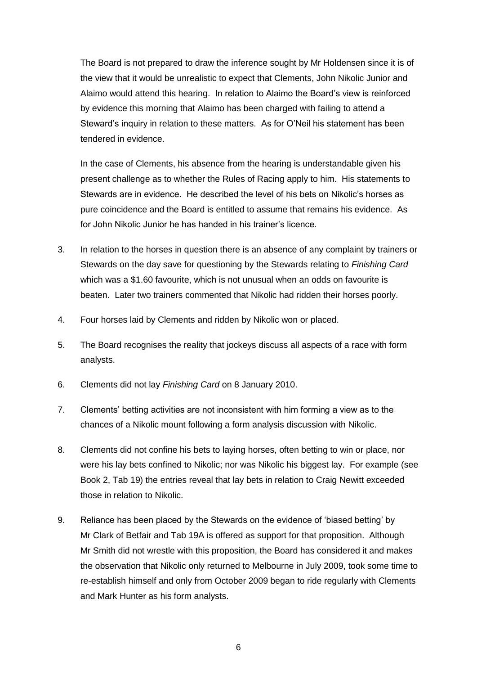The Board is not prepared to draw the inference sought by Mr Holdensen since it is of the view that it would be unrealistic to expect that Clements, John Nikolic Junior and Alaimo would attend this hearing. In relation to Alaimo the Board's view is reinforced by evidence this morning that Alaimo has been charged with failing to attend a Steward's inquiry in relation to these matters. As for O'Neil his statement has been tendered in evidence.

In the case of Clements, his absence from the hearing is understandable given his present challenge as to whether the Rules of Racing apply to him. His statements to Stewards are in evidence. He described the level of his bets on Nikolic's horses as pure coincidence and the Board is entitled to assume that remains his evidence. As for John Nikolic Junior he has handed in his trainer's licence.

- 3. In relation to the horses in question there is an absence of any complaint by trainers or Stewards on the day save for questioning by the Stewards relating to *Finishing Card* which was a \$1.60 favourite, which is not unusual when an odds on favourite is beaten. Later two trainers commented that Nikolic had ridden their horses poorly.
- 4. Four horses laid by Clements and ridden by Nikolic won or placed.
- 5. The Board recognises the reality that jockeys discuss all aspects of a race with form analysts.
- 6. Clements did not lay *Finishing Card* on 8 January 2010.
- 7. Clements' betting activities are not inconsistent with him forming a view as to the chances of a Nikolic mount following a form analysis discussion with Nikolic.
- 8. Clements did not confine his bets to laying horses, often betting to win or place, nor were his lay bets confined to Nikolic; nor was Nikolic his biggest lay. For example (see Book 2, Tab 19) the entries reveal that lay bets in relation to Craig Newitt exceeded those in relation to Nikolic.
- 9. Reliance has been placed by the Stewards on the evidence of 'biased betting' by Mr Clark of Betfair and Tab 19A is offered as support for that proposition. Although Mr Smith did not wrestle with this proposition, the Board has considered it and makes the observation that Nikolic only returned to Melbourne in July 2009, took some time to re-establish himself and only from October 2009 began to ride regularly with Clements and Mark Hunter as his form analysts.